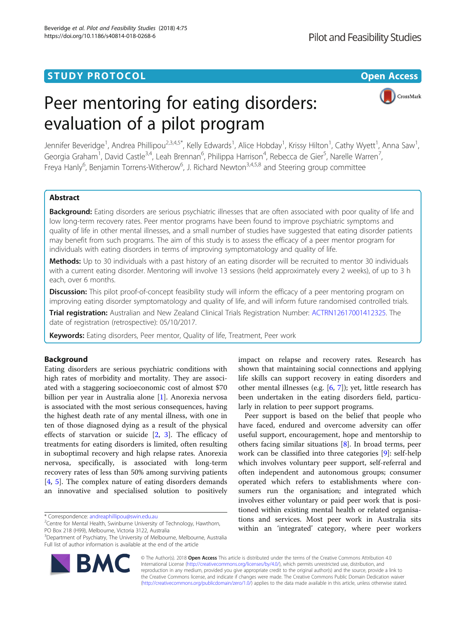# **STUDY PROTOCOL CONSUMING THE CONSUMING THE CONSUMING THE CONSUMING TEAM**

# Peer mentoring for eating disorders: evaluation of a pilot program



Jennifer Beveridge<sup>1</sup>, Andrea Phillipou<sup>2,3,4,5\*</sup>, Kelly Edwards<sup>1</sup>, Alice Hobday<sup>1</sup>, Krissy Hilton<sup>1</sup>, Cathy Wyett<sup>1</sup>, Anna Saw<sup>1</sup> , Georgia Graham<sup>1</sup>, David Castle<sup>3,4</sup>, Leah Brennan<sup>6</sup>, Philippa Harrison<sup>4</sup>, Rebecca de Gier<sup>5</sup>, Narelle Warren<sup>7</sup> , Freya Hanly<sup>6</sup>, Benjamin Torrens-Witherow<sup>6</sup>, J. Richard Newton<sup>3,4,5,8</sup> and Steering group committee

# Abstract

**Background:** Eating disorders are serious psychiatric illnesses that are often associated with poor quality of life and low long-term recovery rates. Peer mentor programs have been found to improve psychiatric symptoms and quality of life in other mental illnesses, and a small number of studies have suggested that eating disorder patients may benefit from such programs. The aim of this study is to assess the efficacy of a peer mentor program for individuals with eating disorders in terms of improving symptomatology and quality of life.

Methods: Up to 30 individuals with a past history of an eating disorder will be recruited to mentor 30 individuals with a current eating disorder. Mentoring will involve 13 sessions (held approximately every 2 weeks), of up to 3 h each, over 6 months.

**Discussion:** This pilot proof-of-concept feasibility study will inform the efficacy of a peer mentoring program on improving eating disorder symptomatology and quality of life, and will inform future randomised controlled trials.

Trial registration: Australian and New Zealand Clinical Trials Registration Number: [ACTRN12617001412325](https://www.australianclinicaltrials.gov.au/anzctr/trial/ACTRN12617001412325). The date of registration (retrospective): 05/10/2017.

Keywords: Eating disorders, Peer mentor, Quality of life, Treatment, Peer work

# Background

Eating disorders are serious psychiatric conditions with high rates of morbidity and mortality. They are associated with a staggering socioeconomic cost of almost \$70 billion per year in Australia alone [\[1](#page-7-0)]. Anorexia nervosa is associated with the most serious consequences, having the highest death rate of any mental illness, with one in ten of those diagnosed dying as a result of the physical effects of starvation or suicide  $[2, 3]$  $[2, 3]$  $[2, 3]$  $[2, 3]$  $[2, 3]$ . The efficacy of treatments for eating disorders is limited, often resulting in suboptimal recovery and high relapse rates. Anorexia nervosa, specifically, is associated with long-term recovery rates of less than 50% among surviving patients [[4,](#page-7-0) [5\]](#page-7-0). The complex nature of eating disorders demands an innovative and specialised solution to positively

\* Correspondence: [andreaphillipou@swin.edu.au](mailto:andreaphillipou@swin.edu.au) <sup>2</sup>

<sup>3</sup>Department of Psychiatry, The University of Melbourne, Melbourne, Australia Full list of author information is available at the end of the article



Peer support is based on the belief that people who have faced, endured and overcome adversity can offer useful support, encouragement, hope and mentorship to others facing similar situations [[8\]](#page-7-0). In broad terms, peer work can be classified into three categories [\[9](#page-7-0)]: self-help which involves voluntary peer support, self-referral and often independent and autonomous groups; consumer operated which refers to establishments where consumers run the organisation; and integrated which involves either voluntary or paid peer work that is positioned within existing mental health or related organisations and services. Most peer work in Australia sits within an 'integrated' category, where peer workers



© The Author(s). 2018 Open Access This article is distributed under the terms of the Creative Commons Attribution 4.0 International License [\(http://creativecommons.org/licenses/by/4.0/](http://creativecommons.org/licenses/by/4.0/)), which permits unrestricted use, distribution, and reproduction in any medium, provided you give appropriate credit to the original author(s) and the source, provide a link to the Creative Commons license, and indicate if changes were made. The Creative Commons Public Domain Dedication waiver [\(http://creativecommons.org/publicdomain/zero/1.0/](http://creativecommons.org/publicdomain/zero/1.0/)) applies to the data made available in this article, unless otherwise stated.

 $2$ Centre for Mental Health, Swinburne University of Technology, Hawthorn, PO Box 218 (H99), Melbourne, Victoria 3122, Australia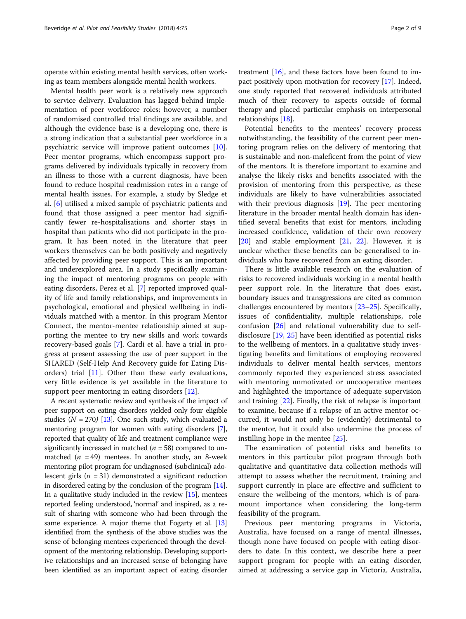operate within existing mental health services, often working as team members alongside mental health workers.

Mental health peer work is a relatively new approach to service delivery. Evaluation has lagged behind implementation of peer workforce roles; however, a number of randomised controlled trial findings are available, and although the evidence base is a developing one, there is a strong indication that a substantial peer workforce in a psychiatric service will improve patient outcomes [\[10](#page-7-0)]. Peer mentor programs, which encompass support programs delivered by individuals typically in recovery from an illness to those with a current diagnosis, have been found to reduce hospital readmission rates in a range of mental health issues. For example, a study by Sledge et al. [[6\]](#page-7-0) utilised a mixed sample of psychiatric patients and found that those assigned a peer mentor had significantly fewer re-hospitalisations and shorter stays in hospital than patients who did not participate in the program. It has been noted in the literature that peer workers themselves can be both positively and negatively affected by providing peer support. This is an important and underexplored area. In a study specifically examining the impact of mentoring programs on people with eating disorders, Perez et al. [[7](#page-7-0)] reported improved quality of life and family relationships, and improvements in psychological, emotional and physical wellbeing in individuals matched with a mentor. In this program Mentor Connect, the mentor-mentee relationship aimed at supporting the mentee to try new skills and work towards recovery-based goals [[7\]](#page-7-0). Cardi et al. have a trial in progress at present assessing the use of peer support in the SHARED (Self-Help And Recovery guide for Eating Disorders) trial [\[11](#page-7-0)]. Other than these early evaluations, very little evidence is yet available in the literature to support peer mentoring in eating disorders [\[12](#page-7-0)].

A recent systematic review and synthesis of the impact of peer support on eating disorders yielded only four eligible studies ( $N = 270$ ) [\[13](#page-7-0)]. One such study, which evaluated a mentoring program for women with eating disorders [[7](#page-7-0)], reported that quality of life and treatment compliance were significantly increased in matched ( $n = 58$ ) compared to unmatched ( $n = 49$ ) mentees. In another study, an 8-week mentoring pilot program for undiagnosed (subclinical) adolescent girls ( $n = 31$ ) demonstrated a significant reduction in disordered eating by the conclusion of the program [\[14](#page-7-0)]. In a qualitative study included in the review  $[15]$ , mentees reported feeling understood, 'normal' and inspired, as a result of sharing with someone who had been through the same experience. A major theme that Fogarty et al. [\[13](#page-7-0)] identified from the synthesis of the above studies was the sense of belonging mentees experienced through the development of the mentoring relationship. Developing supportive relationships and an increased sense of belonging have been identified as an important aspect of eating disorder

treatment [[16](#page-7-0)], and these factors have been found to impact positively upon motivation for recovery [\[17\]](#page-7-0). Indeed, one study reported that recovered individuals attributed much of their recovery to aspects outside of formal therapy and placed particular emphasis on interpersonal relationships [\[18\]](#page-8-0).

Potential benefits to the mentees' recovery process notwithstanding, the feasibility of the current peer mentoring program relies on the delivery of mentoring that is sustainable and non-maleficent from the point of view of the mentors. It is therefore important to examine and analyse the likely risks and benefits associated with the provision of mentoring from this perspective, as these individuals are likely to have vulnerabilities associated with their previous diagnosis [\[19\]](#page-8-0). The peer mentoring literature in the broader mental health domain has identified several benefits that exist for mentors, including increased confidence, validation of their own recovery [[20\]](#page-8-0) and stable employment [\[21](#page-8-0), [22](#page-8-0)]. However, it is unclear whether these benefits can be generalised to individuals who have recovered from an eating disorder.

There is little available research on the evaluation of risks to recovered individuals working in a mental health peer support role. In the literature that does exist, boundary issues and transgressions are cited as common challenges encountered by mentors [[23](#page-8-0)–[25](#page-8-0)]. Specifically, issues of confidentiality, multiple relationships, role confusion [[26](#page-8-0)] and relational vulnerability due to selfdisclosure [[19,](#page-8-0) [25\]](#page-8-0) have been identified as potential risks to the wellbeing of mentors. In a qualitative study investigating benefits and limitations of employing recovered individuals to deliver mental health services, mentors commonly reported they experienced stress associated with mentoring unmotivated or uncooperative mentees and highlighted the importance of adequate supervision and training [\[22\]](#page-8-0). Finally, the risk of relapse is important to examine, because if a relapse of an active mentor occurred, it would not only be (evidently) detrimental to the mentor, but it could also undermine the process of instilling hope in the mentee [[25\]](#page-8-0).

The examination of potential risks and benefits to mentors in this particular pilot program through both qualitative and quantitative data collection methods will attempt to assess whether the recruitment, training and support currently in place are effective and sufficient to ensure the wellbeing of the mentors, which is of paramount importance when considering the long-term feasibility of the program.

Previous peer mentoring programs in Victoria, Australia, have focused on a range of mental illnesses, though none have focused on people with eating disorders to date. In this context, we describe here a peer support program for people with an eating disorder, aimed at addressing a service gap in Victoria, Australia,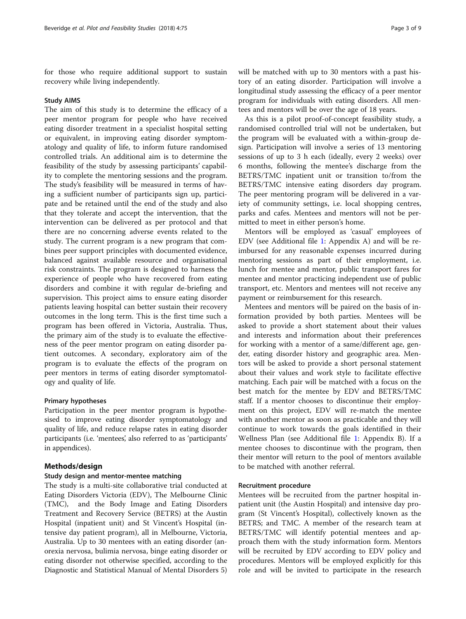for those who require additional support to sustain recovery while living independently.

### Study AIMS

The aim of this study is to determine the efficacy of a peer mentor program for people who have received eating disorder treatment in a specialist hospital setting or equivalent, in improving eating disorder symptomatology and quality of life, to inform future randomised controlled trials. An additional aim is to determine the feasibility of the study by assessing participants' capability to complete the mentoring sessions and the program. The study's feasibility will be measured in terms of having a sufficient number of participants sign up, participate and be retained until the end of the study and also that they tolerate and accept the intervention, that the intervention can be delivered as per protocol and that there are no concerning adverse events related to the study. The current program is a new program that combines peer support principles with documented evidence, balanced against available resource and organisational risk constraints. The program is designed to harness the experience of people who have recovered from eating disorders and combine it with regular de-briefing and supervision. This project aims to ensure eating disorder patients leaving hospital can better sustain their recovery outcomes in the long term. This is the first time such a program has been offered in Victoria, Australia. Thus, the primary aim of the study is to evaluate the effectiveness of the peer mentor program on eating disorder patient outcomes. A secondary, exploratory aim of the program is to evaluate the effects of the program on peer mentors in terms of eating disorder symptomatology and quality of life.

# Primary hypotheses

Participation in the peer mentor program is hypothesised to improve eating disorder symptomatology and quality of life, and reduce relapse rates in eating disorder participants (i.e. 'mentees', also referred to as 'participants' in appendices).

# Methods/design

## Study design and mentor-mentee matching

The study is a multi-site collaborative trial conducted at Eating Disorders Victoria (EDV), The Melbourne Clinic (TMC), and the Body Image and Eating Disorders Treatment and Recovery Service (BETRS) at the Austin Hospital (inpatient unit) and St Vincent's Hospital (intensive day patient program), all in Melbourne, Victoria, Australia. Up to 30 mentees with an eating disorder (anorexia nervosa, bulimia nervosa, binge eating disorder or eating disorder not otherwise specified, according to the Diagnostic and Statistical Manual of Mental Disorders 5) will be matched with up to 30 mentors with a past history of an eating disorder. Participation will involve a longitudinal study assessing the efficacy of a peer mentor program for individuals with eating disorders. All mentees and mentors will be over the age of 18 years.

As this is a pilot proof-of-concept feasibility study, a randomised controlled trial will not be undertaken, but the program will be evaluated with a within-group design. Participation will involve a series of 13 mentoring sessions of up to 3 h each (ideally, every 2 weeks) over 6 months, following the mentee's discharge from the BETRS/TMC inpatient unit or transition to/from the BETRS/TMC intensive eating disorders day program. The peer mentoring program will be delivered in a variety of community settings, i.e. local shopping centres, parks and cafes. Mentees and mentors will not be permitted to meet in either person's home.

Mentors will be employed as 'casual' employees of EDV (see Additional file [1](#page-7-0): Appendix A) and will be reimbursed for any reasonable expenses incurred during mentoring sessions as part of their employment, i.e. lunch for mentee and mentor, public transport fares for mentee and mentor practicing independent use of public transport, etc. Mentors and mentees will not receive any payment or reimbursement for this research.

Mentees and mentors will be paired on the basis of information provided by both parties. Mentees will be asked to provide a short statement about their values and interests and information about their preferences for working with a mentor of a same/different age, gender, eating disorder history and geographic area. Mentors will be asked to provide a short personal statement about their values and work style to facilitate effective matching. Each pair will be matched with a focus on the best match for the mentee by EDV and BETRS/TMC staff. If a mentor chooses to discontinue their employment on this project, EDV will re-match the mentee with another mentor as soon as practicable and they will continue to work towards the goals identified in their Wellness Plan (see Additional file [1](#page-7-0): Appendix B). If a mentee chooses to discontinue with the program, then their mentor will return to the pool of mentors available to be matched with another referral.

# Recruitment procedure

Mentees will be recruited from the partner hospital inpatient unit (the Austin Hospital) and intensive day program (St Vincent's Hospital), collectively known as the BETRS; and TMC. A member of the research team at BETRS/TMC will identify potential mentees and approach them with the study information form. Mentors will be recruited by EDV according to EDV policy and procedures. Mentors will be employed explicitly for this role and will be invited to participate in the research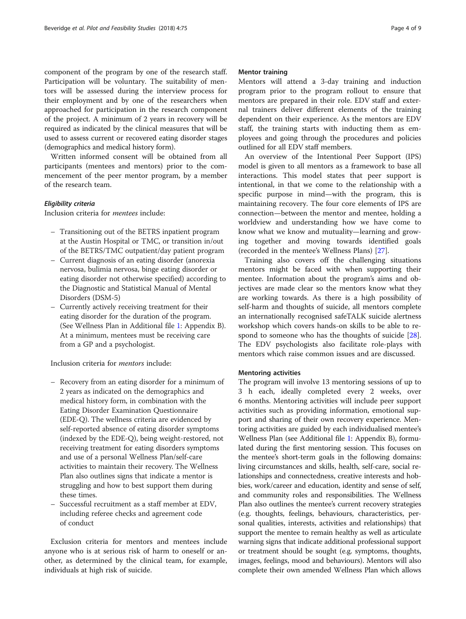component of the program by one of the research staff. Participation will be voluntary. The suitability of mentors will be assessed during the interview process for their employment and by one of the researchers when approached for participation in the research component of the project. A minimum of 2 years in recovery will be required as indicated by the clinical measures that will be used to assess current or recovered eating disorder stages (demographics and medical history form).

Written informed consent will be obtained from all participants (mentees and mentors) prior to the commencement of the peer mentor program, by a member of the research team.

Inclusion criteria for *mentees* include:

- Transitioning out of the BETRS inpatient program at the Austin Hospital or TMC, or transition in/out of the BETRS/TMC outpatient/day patient program
- Current diagnosis of an eating disorder (anorexia nervosa, bulimia nervosa, binge eating disorder or eating disorder not otherwise specified) according to the Diagnostic and Statistical Manual of Mental Disorders (DSM-5)
- Currently actively receiving treatment for their eating disorder for the duration of the program. (See Wellness Plan in Additional file [1:](#page-7-0) Appendix B). At a minimum, mentees must be receiving care from a GP and a psychologist.

Inclusion criteria for mentors include:

- Recovery from an eating disorder for a minimum of 2 years as indicated on the demographics and medical history form, in combination with the Eating Disorder Examination Questionnaire (EDE-Q). The wellness criteria are evidenced by self-reported absence of eating disorder symptoms (indexed by the EDE-Q), being weight-restored, not receiving treatment for eating disorders symptoms and use of a personal Wellness Plan/self-care activities to maintain their recovery. The Wellness Plan also outlines signs that indicate a mentor is struggling and how to best support them during these times.
- Successful recruitment as a staff member at EDV, including referee checks and agreement code of conduct

Exclusion criteria for mentors and mentees include anyone who is at serious risk of harm to oneself or another, as determined by the clinical team, for example, individuals at high risk of suicide.

## Mentor training

Mentors will attend a 3-day training and induction program prior to the program rollout to ensure that mentors are prepared in their role. EDV staff and external trainers deliver different elements of the training dependent on their experience. As the mentors are EDV staff, the training starts with inducting them as employees and going through the procedures and policies outlined for all EDV staff members.

An overview of the Intentional Peer Support (IPS) model is given to all mentors as a framework to base all interactions. This model states that peer support is intentional, in that we come to the relationship with a specific purpose in mind—with the program, this is maintaining recovery. The four core elements of IPS are connection—between the mentor and mentee, holding a worldview and understanding how we have come to know what we know and mutuality—learning and growing together and moving towards identified goals (recorded in the mentee's Wellness Plans) [[27](#page-8-0)].

Training also covers off the challenging situations mentors might be faced with when supporting their mentee. Information about the program's aims and objectives are made clear so the mentors know what they are working towards. As there is a high possibility of self-harm and thoughts of suicide, all mentors complete an internationally recognised safeTALK suicide alertness workshop which covers hands-on skills to be able to respond to someone who has the thoughts of suicide [\[28](#page-8-0)]. The EDV psychologists also facilitate role-plays with mentors which raise common issues and are discussed.

# Mentoring activities

The program will involve 13 mentoring sessions of up to 3 h each, ideally completed every 2 weeks, over 6 months. Mentoring activities will include peer support activities such as providing information, emotional support and sharing of their own recovery experience. Mentoring activities are guided by each individualised mentee's Wellness Plan (see Additional file [1:](#page-7-0) Appendix B), formulated during the first mentoring session. This focuses on the mentee's short-term goals in the following domains: living circumstances and skills, health, self-care, social relationships and connectedness, creative interests and hobbies, work/career and education, identity and sense of self, and community roles and responsibilities. The Wellness Plan also outlines the mentee's current recovery strategies (e.g. thoughts, feelings, behaviours, characteristics, personal qualities, interests, activities and relationships) that support the mentee to remain healthy as well as articulate warning signs that indicate additional professional support or treatment should be sought (e.g. symptoms, thoughts, images, feelings, mood and behaviours). Mentors will also complete their own amended Wellness Plan which allows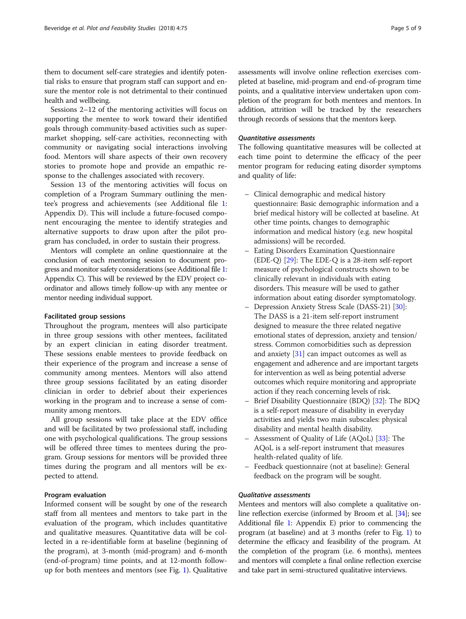them to document self-care strategies and identify potential risks to ensure that program staff can support and ensure the mentor role is not detrimental to their continued health and wellbeing.

Sessions 2–12 of the mentoring activities will focus on supporting the mentee to work toward their identified goals through community-based activities such as supermarket shopping, self-care activities, reconnecting with community or navigating social interactions involving food. Mentors will share aspects of their own recovery stories to promote hope and provide an empathic response to the challenges associated with recovery.

Session 13 of the mentoring activities will focus on completion of a Program Summary outlining the mentee's progress and achievements (see Additional file [1](#page-7-0): Appendix D). This will include a future-focused component encouraging the mentee to identify strategies and alternative supports to draw upon after the pilot program has concluded, in order to sustain their progress.

Mentors will complete an online questionnaire at the conclusion of each mentoring session to document progress and monitor safety considerations (see Additional file [1](#page-7-0): Appendix C). This will be reviewed by the EDV project coordinator and allows timely follow-up with any mentee or mentor needing individual support.

## Facilitated group sessions

Throughout the program, mentees will also participate in three group sessions with other mentees, facilitated by an expert clinician in eating disorder treatment. These sessions enable mentees to provide feedback on their experience of the program and increase a sense of community among mentees. Mentors will also attend three group sessions facilitated by an eating disorder clinician in order to debrief about their experiences working in the program and to increase a sense of community among mentors.

All group sessions will take place at the EDV office and will be facilitated by two professional staff, including one with psychological qualifications. The group sessions will be offered three times to mentees during the program. Group sessions for mentors will be provided three times during the program and all mentors will be expected to attend.

# Program evaluation

Informed consent will be sought by one of the research staff from all mentees and mentors to take part in the evaluation of the program, which includes quantitative and qualitative measures. Quantitative data will be collected in a re-identifiable form at baseline (beginning of the program), at 3-month (mid-program) and 6-month (end-of-program) time points, and at 12-month followup for both mentees and mentors (see Fig. [1\)](#page-5-0). Qualitative

assessments will involve online reflection exercises completed at baseline, mid-program and end-of-program time points, and a qualitative interview undertaken upon completion of the program for both mentees and mentors. In addition, attrition will be tracked by the researchers through records of sessions that the mentors keep.

The following quantitative measures will be collected at each time point to determine the efficacy of the peer mentor program for reducing eating disorder symptoms and quality of life:

- Clinical demographic and medical history questionnaire: Basic demographic information and a brief medical history will be collected at baseline. At other time points, changes to demographic information and medical history (e.g. new hospital admissions) will be recorded.
- Eating Disorders Examination Questionnaire (EDE-Q) [\[29\]](#page-8-0): The EDE-Q is a 28-item self-report measure of psychological constructs shown to be clinically relevant in individuals with eating disorders. This measure will be used to gather information about eating disorder symptomatology.
- Depression Anxiety Stress Scale (DASS-21) [\[30\]](#page-8-0): The DASS is a 21-item self-report instrument designed to measure the three related negative emotional states of depression, anxiety and tension/ stress. Common comorbidities such as depression and anxiety [\[31\]](#page-8-0) can impact outcomes as well as engagement and adherence and are important targets for intervention as well as being potential adverse outcomes which require monitoring and appropriate action if they reach concerning levels of risk.
- Brief Disability Questionnaire (BDQ) [\[32\]](#page-8-0): The BDQ is a self-report measure of disability in everyday activities and yields two main subscales: physical disability and mental health disability.
- Assessment of Quality of Life (AQoL) [\[33](#page-8-0)]: The AQoL is a self-report instrument that measures health-related quality of life.
- Feedback questionnaire (not at baseline): General feedback on the program will be sought.

Mentees and mentors will also complete a qualitative online reflection exercise (informed by Broom et al. [\[34\]](#page-8-0); see Additional file [1:](#page-7-0) Appendix E) prior to commencing the program (at baseline) and at 3 months (refer to Fig. [1\)](#page-5-0) to determine the efficacy and feasibility of the program. At the completion of the program (i.e. 6 months), mentees and mentors will complete a final online reflection exercise and take part in semi-structured qualitative interviews.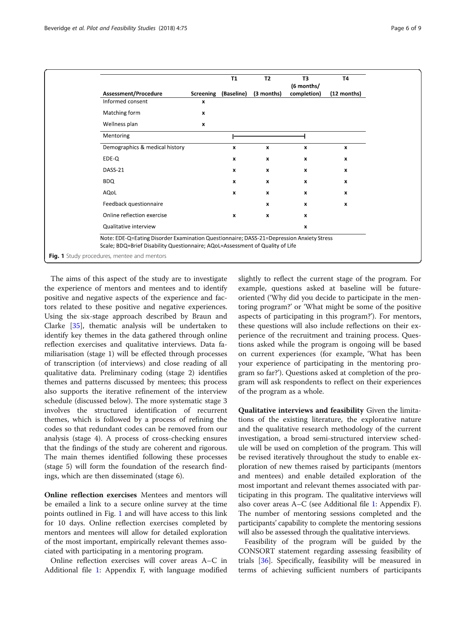<span id="page-5-0"></span>

|                                                                                                                                                                           |                  | <b>T1</b>    | T <sub>2</sub> | T <sub>3</sub> | <b>T4</b>   |
|---------------------------------------------------------------------------------------------------------------------------------------------------------------------------|------------------|--------------|----------------|----------------|-------------|
|                                                                                                                                                                           |                  |              |                | (6 months/     |             |
| Assessment/Procedure                                                                                                                                                      | <b>Screening</b> | (Baseline)   | (3 months)     | completion)    | (12 months) |
| Informed consent                                                                                                                                                          | X                |              |                |                |             |
| Matching form                                                                                                                                                             | x                |              |                |                |             |
| Wellness plan                                                                                                                                                             | x                |              |                |                |             |
| Mentoring                                                                                                                                                                 |                  |              |                |                |             |
| Demographics & medical history                                                                                                                                            |                  | $\mathbf{x}$ | x              | x              | x           |
| EDE-Q                                                                                                                                                                     |                  | $\mathbf{x}$ | x              | $\mathbf{x}$   | x           |
| DASS-21                                                                                                                                                                   |                  | $\mathbf{x}$ | x              | x              | x           |
| <b>BDQ</b>                                                                                                                                                                |                  | $\mathbf{x}$ | x              | x              | x           |
| AQoL                                                                                                                                                                      |                  | $\mathbf x$  | x              | x              | x           |
| Feedback questionnaire                                                                                                                                                    |                  |              | X              | $\mathbf{x}$   | x           |
| Online reflection exercise                                                                                                                                                |                  | $\pmb{\chi}$ | x              | x              |             |
| Qualitative interview                                                                                                                                                     |                  |              |                | $\pmb{\chi}$   |             |
| Note: EDE-Q=Eating Disorder Examination Questionnaire; DASS-21=Depression Anxiety Stress<br>Scale; BDQ=Brief Disability Questionnaire; AQoL=Assessment of Quality of Life |                  |              |                |                |             |
| Fig. 1 Study procedures, mentee and mentors                                                                                                                               |                  |              |                |                |             |

The aims of this aspect of the study are to investigate the experience of mentors and mentees and to identify positive and negative aspects of the experience and factors related to these positive and negative experiences. Using the six-stage approach described by Braun and Clarke [[35\]](#page-8-0), thematic analysis will be undertaken to identify key themes in the data gathered through online reflection exercises and qualitative interviews. Data familiarisation (stage 1) will be effected through processes of transcription (of interviews) and close reading of all qualitative data. Preliminary coding (stage 2) identifies themes and patterns discussed by mentees; this process also supports the iterative refinement of the interview schedule (discussed below). The more systematic stage 3 involves the structured identification of recurrent themes, which is followed by a process of refining the codes so that redundant codes can be removed from our analysis (stage 4). A process of cross-checking ensures that the findings of the study are coherent and rigorous. The main themes identified following these processes (stage 5) will form the foundation of the research findings, which are then disseminated (stage 6).

Online reflection exercises Mentees and mentors will be emailed a link to a secure online survey at the time points outlined in Fig. 1 and will have access to this link for 10 days. Online reflection exercises completed by mentors and mentees will allow for detailed exploration of the most important, empirically relevant themes associated with participating in a mentoring program.

Online reflection exercises will cover areas A–C in Additional file [1](#page-7-0): Appendix F, with language modified slightly to reflect the current stage of the program. For example, questions asked at baseline will be futureoriented ('Why did you decide to participate in the mentoring program?' or 'What might be some of the positive aspects of participating in this program?'). For mentors, these questions will also include reflections on their experience of the recruitment and training process. Questions asked while the program is ongoing will be based on current experiences (for example, 'What has been your experience of participating in the mentoring program so far?'). Questions asked at completion of the program will ask respondents to reflect on their experiences of the program as a whole.

Qualitative interviews and feasibility Given the limitations of the existing literature, the explorative nature and the qualitative research methodology of the current investigation, a broad semi-structured interview schedule will be used on completion of the program. This will be revised iteratively throughout the study to enable exploration of new themes raised by participants (mentors and mentees) and enable detailed exploration of the most important and relevant themes associated with participating in this program. The qualitative interviews will also cover areas A–C (see Additional file [1](#page-7-0): Appendix F). The number of mentoring sessions completed and the participants' capability to complete the mentoring sessions will also be assessed through the qualitative interviews.

Feasibility of the program will be guided by the CONSORT statement regarding assessing feasibility of trials [\[36](#page-8-0)]. Specifically, feasibility will be measured in terms of achieving sufficient numbers of participants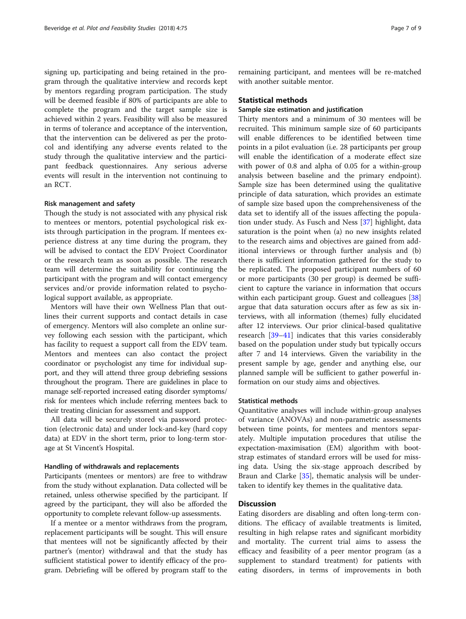signing up, participating and being retained in the program through the qualitative interview and records kept by mentors regarding program participation. The study will be deemed feasible if 80% of participants are able to complete the program and the target sample size is achieved within 2 years. Feasibility will also be measured in terms of tolerance and acceptance of the intervention, that the intervention can be delivered as per the protocol and identifying any adverse events related to the study through the qualitative interview and the participant feedback questionnaires. Any serious adverse events will result in the intervention not continuing to an RCT.

#### Risk management and safety

Though the study is not associated with any physical risk to mentees or mentors, potential psychological risk exists through participation in the program. If mentees experience distress at any time during the program, they will be advised to contact the EDV Project Coordinator or the research team as soon as possible. The research team will determine the suitability for continuing the participant with the program and will contact emergency services and/or provide information related to psychological support available, as appropriate.

Mentors will have their own Wellness Plan that outlines their current supports and contact details in case of emergency. Mentors will also complete an online survey following each session with the participant, which has facility to request a support call from the EDV team. Mentors and mentees can also contact the project coordinator or psychologist any time for individual support, and they will attend three group debriefing sessions throughout the program. There are guidelines in place to manage self-reported increased eating disorder symptoms/ risk for mentees which include referring mentees back to their treating clinician for assessment and support.

All data will be securely stored via password protection (electronic data) and under lock-and-key (hard copy data) at EDV in the short term, prior to long-term storage at St Vincent's Hospital.

#### Handling of withdrawals and replacements

Participants (mentees or mentors) are free to withdraw from the study without explanation. Data collected will be retained, unless otherwise specified by the participant. If agreed by the participant, they will also be afforded the opportunity to complete relevant follow-up assessments.

If a mentee or a mentor withdraws from the program, replacement participants will be sought. This will ensure that mentees will not be significantly affected by their partner's (mentor) withdrawal and that the study has sufficient statistical power to identify efficacy of the program. Debriefing will be offered by program staff to the

remaining participant, and mentees will be re-matched with another suitable mentor.

# Statistical methods

# Sample size estimation and justification

Thirty mentors and a minimum of 30 mentees will be recruited. This minimum sample size of 60 participants will enable differences to be identified between time points in a pilot evaluation (i.e. 28 participants per group will enable the identification of a moderate effect size with power of 0.8 and alpha of 0.05 for a within-group analysis between baseline and the primary endpoint). Sample size has been determined using the qualitative principle of data saturation, which provides an estimate of sample size based upon the comprehensiveness of the data set to identify all of the issues affecting the population under study. As Fusch and Ness [[37](#page-8-0)] highlight, data saturation is the point when (a) no new insights related to the research aims and objectives are gained from additional interviews or through further analysis and (b) there is sufficient information gathered for the study to be replicated. The proposed participant numbers of 60 or more participants (30 per group) is deemed be sufficient to capture the variance in information that occurs within each participant group. Guest and colleagues [[38](#page-8-0)] argue that data saturation occurs after as few as six interviews, with all information (themes) fully elucidated after 12 interviews. Our prior clinical-based qualitative research [\[39](#page-8-0)–[41\]](#page-8-0) indicates that this varies considerably based on the population under study but typically occurs after 7 and 14 interviews. Given the variability in the present sample by age, gender and anything else, our planned sample will be sufficient to gather powerful information on our study aims and objectives.

# Statistical methods

Quantitative analyses will include within-group analyses of variance (ANOVAs) and non-parametric assessments between time points, for mentees and mentors separately. Multiple imputation procedures that utilise the expectation-maximisation (EM) algorithm with bootstrap estimates of standard errors will be used for missing data. Using the six-stage approach described by Braun and Clarke [[35\]](#page-8-0), thematic analysis will be undertaken to identify key themes in the qualitative data.

# **Discussion**

Eating disorders are disabling and often long-term conditions. The efficacy of available treatments is limited, resulting in high relapse rates and significant morbidity and mortality. The current trial aims to assess the efficacy and feasibility of a peer mentor program (as a supplement to standard treatment) for patients with eating disorders, in terms of improvements in both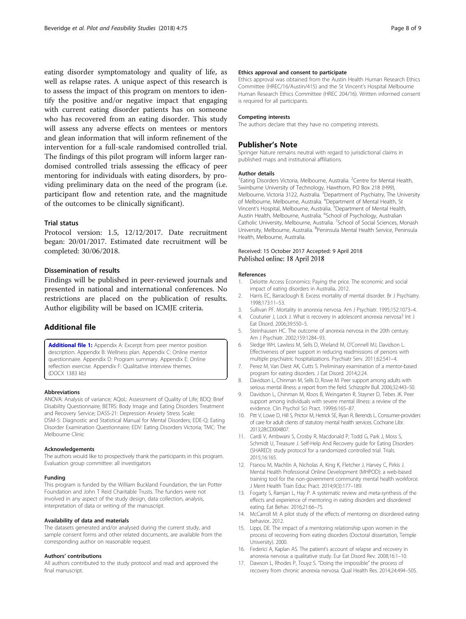<span id="page-7-0"></span>eating disorder symptomatology and quality of life, as well as relapse rates. A unique aspect of this research is to assess the impact of this program on mentors to identify the positive and/or negative impact that engaging with current eating disorder patients has on someone who has recovered from an eating disorder. This study will assess any adverse effects on mentees or mentors and glean information that will inform refinement of the intervention for a full-scale randomised controlled trial. The findings of this pilot program will inform larger randomised controlled trials assessing the efficacy of peer mentoring for individuals with eating disorders, by providing preliminary data on the need of the program (i.e. participant flow and retention rate, and the magnitude of the outcomes to be clinically significant).

# Trial status

Protocol version: 1.5, 12/12/2017. Date recruitment began: 20/01/2017. Estimated date recruitment will be completed: 30/06/2018.

# Dissemination of results

Findings will be published in peer-reviewed journals and presented in national and international conferences. No restrictions are placed on the publication of results. Author eligibility will be based on ICMJE criteria.

# Additional file

[Additional file 1:](https://doi.org/10.1186/s40814-018-0268-6) Appendix A: Excerpt from peer mentor position description. Appendix B: Wellness plan. Appendix C: Online mentor questionnaire. Appendix D: Program summary. Appendix E: Online reflection exercise. Appendix F: Qualitative interview themes. (DOCX 1383 kb)

#### Abbreviations

ANOVA: Analysis of variance; AQoL: Assessment of Quality of Life; BDQ: Brief Disability Questionnaire; BETRS: Body Image and Eating Disorders Treatment and Recovery Service; DASS-21: Depression Anxiety Stress Scale; DSM-5: Diagnostic and Statistical Manual for Mental Disorders; EDE-Q: Eating Disorder Examination Questionnaire; EDV: Eating Disorders Victoria; TMC: The Melbourne Clinic

#### Acknowledgements

The authors would like to prospectively thank the participants in this program. Evaluation group committee: all investigators

#### Funding

This program is funded by the William Buckland Foundation, the Ian Potter Foundation and John T Reid Charitable Trusts. The funders were not involved in any aspect of the study design, data collection, analysis, interpretation of data or writing of the manuscript.

#### Availability of data and materials

The datasets generated and/or analysed during the current study, and sample consent forms and other related documents, are available from the corresponding author on reasonable request.

#### Authors' contributions

All authors contributed to the study protocol and read and approved the final manuscript.

#### Ethics approval and consent to participate

Ethics approval was obtained from the Austin Health Human Research Ethics Committee (HREC/16/Austin/415) and the St Vincent's Hospital Melbourne Human Research Ethics Committee (HREC 204/16). Written informed consent is required for all participants.

#### Competing interests

The authors declare that they have no competing interests.

# Publisher's Note

Springer Nature remains neutral with regard to jurisdictional claims in published maps and institutional affiliations.

#### Author details

<sup>1</sup> Eating Disorders Victoria, Melbourne, Australia. <sup>2</sup> Centre for Mental Health Swinburne University of Technology, Hawthorn, PO Box 218 (H99), Melbourne, Victoria 3122, Australia. <sup>3</sup>Department of Psychiatry, The University of Melbourne, Melbourne, Australia. <sup>4</sup>Department of Mental Health, St Vincent's Hospital, Melbourne, Australia. <sup>5</sup> Department of Mental Health, Austin Health, Melbourne, Australia. <sup>6</sup>School of Psychology, Australian Catholic University, Melbourne, Australia. <sup>7</sup>School of Social Sciences, Monash University, Melbourne, Australia. <sup>8</sup>Peninsula Mental Health Service, Peninsula Health, Melbourne, Australia.

# Received: 15 October 2017 Accepted: 9 April 2018 Published online: 18 April 2018

#### References

- 1. Deloitte Access Economics: Paying the price. The economic and social impact of eating disorders in Australia. 2012.
- 2. Harris EC, Barraclough B. Excess mortality of mental disorder. Br J Psychiatry. 1998;173:11–53.
- 3. Sullivan PF. Mortality in anorexia nervosa. Am J Psychiatr. 1995;152:1073–4.
- 4. Couturier J, Lock J. What is recovery in adolescent anorexia nervosa? Int J Eat Disord. 2006;39:550–5.
- 5. Steinhausen HC. The outcome of anorexia nervosa in the 20th century. Am J Psychiatr. 2002;159:1284–93.
- 6. Sledge WH, Lawless M, Sells D, Wieland M, O'Connell MJ, Davidson L. Effectiveness of peer support in reducing readmissions of persons with multiple psychiatric hospitalizations. Psychiatr Serv. 2011;62:541–4.
- 7. Perez M, Van Diest AK, Cutts S. Preliminary examination of a mentor-based program for eating disorders. J Eat Disord. 2014;2:24.
- 8. Davidson L, Chinman M, Sells D, Rowe M. Peer support among adults with serious mental illness: a report from the field. Schizophr Bull. 2006;32:443–50.
- 9. Davidson L, Chinman M, Kloos B, Weingarten R, Stayner D, Tebes JK. Peer support among individuals with severe mental illness: a review of the evidence. Clin Psychol Sci Pract. 1999;6:165–87.
- 10. Pitt V, Lowe D, Hill S, Prictor M, Hetrick SE, Ryan R, Berends L. Consumer-providers of care for adult clients of statutory mental health services. Cochrane Libr. 2013;28:CD004807.
- 11. Cardi V, Ambwani S, Crosby R, Macdonald P, Todd G, Park J, Moss S, Schmidt U, Treasure J. Self-Help And Recovery guide for Eating Disorders (SHARED): study protocol for a randomized controlled trial. Trials. 2015;16:165.
- 12. Ftanou M, Machlin A, Nicholas A, King K, Fletcher J, Harvey C, Pirkis J. Mental Health Professional Online Development (MHPOD): a web-based training tool for the non-government community mental health workforce. J Ment Health Train Educ Pract. 2014;9(3):177–189.
- 13. Fogarty S, Ramjan L, Hay P. A systematic review and meta-synthesis of the effects and experience of mentoring in eating disorders and disordered eating. Eat Behav. 2016;21:66–75.
- 14. McCarroll M: A pilot study of the effects of mentoring on disordered eating behavior. 2012.
- 15. Lippi, DE. The impact of a mentoring relationship upon women in the process of recovering from eating disorders (Doctoral dissertation, Temple University). 2000.
- 16. Federici A, Kaplan AS. The patient's account of relapse and recovery in anorexia nervosa: a qualitative study. Eur Eat Disord Rev. 2008;16:1–10.
- 17. Dawson L, Rhodes P, Touyz S. "Doing the impossible" the process of recovery from chronic anorexia nervosa. Qual Health Res. 2014;24:494–505.